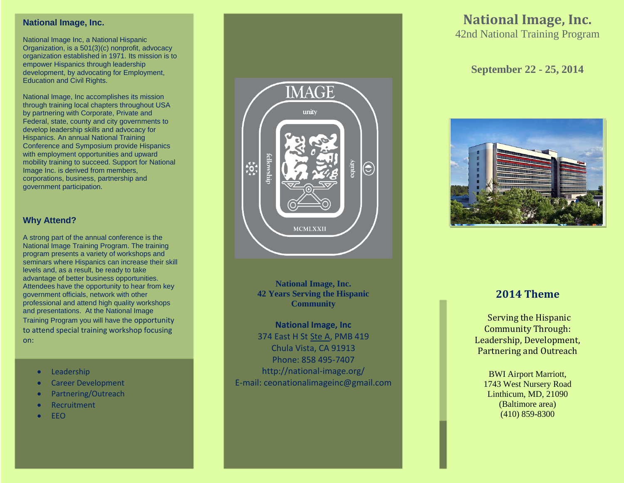## **National Image, Inc.**

National Image Inc, a National Hispanic Organization, is a 501(3)(c) nonprofit, advocacy organization established in 1971. Its mission is to empower Hispanics through leadership development, by advocating for Employment, Education and Civil Rights.

National Image, Inc accomplishes its mission through training local chapters throughout USA by partnering with Corporate, Private and Federal, state, county and city governments to develop leadership skills and advocacy for Hispanics. An annual National Training Conference and Symposium provide Hispanics with employment opportunities and upward mobility training to succeed. Support for National Image Inc. is derived from members, corporations, business, partnership and government participation.

## **Why Attend?**

A strong part of the annual conference is the National Image Training Program. The training program presents a variety of workshops and seminars where Hispanics can increase their skill levels and, as a result, be ready to take advantage of better business opportunities. Attendees have the opportunity to hear from key government officials, network with other professional and attend high quality workshops and presentations. At the National Image Training Program you will have the opportunity to attend special training workshop focusing on:

- Leadership
- **•** Career Development
- Partnering/Outreach
- Recruitment
- EEO



**National Image, Inc. 42 Years Serving the Hispanic Community**

**National Image, Inc** 374 East H St [Ste A,](http://national-image.org/contact-us/) PMB 419 Chula Vista, CA 91913 Phone: 858 495-7407 http://national-image.org/ E-mail: ceonationalimageinc@gmail.com

# **National Image, Inc.** 42nd National Training Program

## **September 22 - 25, 2014**



# **2014 Theme**

Serving the Hispanic Community Through: Leadership, Development, Partnering and Outreach

 $(410) 859-8300$ BWI Airport Marriott, 1743 West Nursery Road Linthicum, MD, 21090 (Baltimore area)